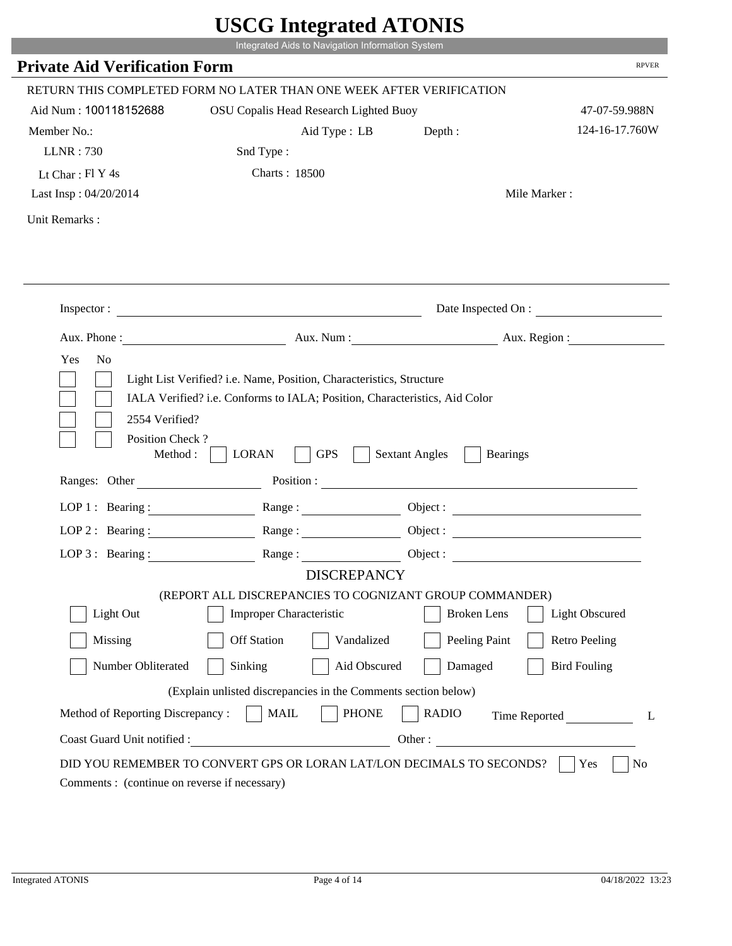|                                               |                                                                                                                                                    | $\sim$                                   |                      |
|-----------------------------------------------|----------------------------------------------------------------------------------------------------------------------------------------------------|------------------------------------------|----------------------|
| <b>Private Aid Verification Form</b>          | Integrated Aids to Navigation Information System                                                                                                   |                                          | <b>RPVER</b>         |
|                                               |                                                                                                                                                    |                                          |                      |
|                                               | RETURN THIS COMPLETED FORM NO LATER THAN ONE WEEK AFTER VERIFICATION                                                                               |                                          |                      |
| Aid Num: 100118152688                         | OSU Copalis Head Research Lighted Buoy                                                                                                             |                                          | 47-07-59.988N        |
| Member No.:                                   | Aid Type : LB                                                                                                                                      | Depth:                                   | 124-16-17.760W       |
| <b>LLNR: 730</b>                              | Snd Type:                                                                                                                                          |                                          |                      |
| Lt Char: $FI$ Y 4s                            | <b>Charts: 18500</b>                                                                                                                               |                                          |                      |
| Last Insp: 04/20/2014                         |                                                                                                                                                    |                                          | Mile Marker:         |
| Unit Remarks:                                 |                                                                                                                                                    |                                          |                      |
|                                               |                                                                                                                                                    |                                          |                      |
|                                               |                                                                                                                                                    |                                          |                      |
|                                               | Inspector:                                                                                                                                         |                                          | Date Inspected On :  |
|                                               | Aux. Phone : Aux. Num : Aux. Num : Aux. Aux. Region :                                                                                              |                                          |                      |
| Yes<br>N <sub>o</sub>                         | Light List Verified? i.e. Name, Position, Characteristics, Structure<br>IALA Verified? i.e. Conforms to IALA; Position, Characteristics, Aid Color |                                          |                      |
| 2554 Verified?<br>Position Check?<br>Method : | <b>GPS</b><br><b>LORAN</b>                                                                                                                         | <b>Sextant Angles</b><br><b>Bearings</b> |                      |
| Ranges: Other                                 |                                                                                                                                                    | Position :                               |                      |
| LOP 1 : Bearing :                             | Range:                                                                                                                                             |                                          |                      |
| $LOP$ 2 : Bearing :                           |                                                                                                                                                    |                                          |                      |
|                                               | LOP 3: Bearing : $\qquad \qquad$ Range :                                                                                                           |                                          |                      |
|                                               | <b>DISCREPANCY</b>                                                                                                                                 |                                          |                      |
| Light Out                                     | (REPORT ALL DISCREPANCIES TO COGNIZANT GROUP COMMANDER)<br>Improper Characteristic                                                                 | <b>Broken</b> Lens                       | Light Obscured       |
|                                               |                                                                                                                                                    |                                          |                      |
| Missing                                       | <b>Off Station</b><br>Vandalized                                                                                                                   | Peeling Paint                            | <b>Retro Peeling</b> |
| Number Obliterated                            | Sinking<br>Aid Obscured                                                                                                                            | Damaged                                  | <b>Bird Fouling</b>  |
|                                               | (Explain unlisted discrepancies in the Comments section below)                                                                                     |                                          |                      |
| Method of Reporting Discrepancy:              | <b>MAIL</b><br><b>PHONE</b>                                                                                                                        | <b>RADIO</b><br>Other:                   | Time Reported<br>L   |

L.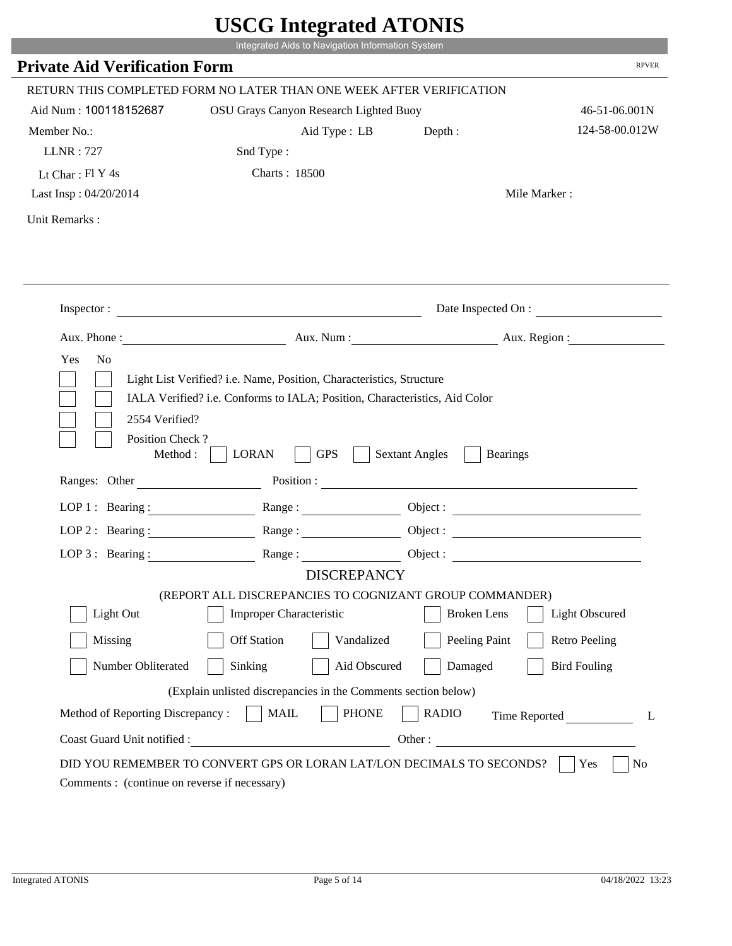|                                              | Integrated Aids to Navigation Information System                                                                                                   |                                                        |                          |
|----------------------------------------------|----------------------------------------------------------------------------------------------------------------------------------------------------|--------------------------------------------------------|--------------------------|
| <b>Private Aid Verification Form</b>         |                                                                                                                                                    |                                                        | <b>RPVER</b>             |
|                                              | RETURN THIS COMPLETED FORM NO LATER THAN ONE WEEK AFTER VERIFICATION                                                                               |                                                        |                          |
| Aid Num: 100118152687                        | OSU Grays Canyon Research Lighted Buoy                                                                                                             |                                                        | 46-51-06.001N            |
| Member No.:                                  | Aid Type : LB                                                                                                                                      | Depth:                                                 | 124-58-00.012W           |
| <b>LLNR: 727</b>                             | Snd Type:                                                                                                                                          |                                                        |                          |
| Lt Char: $FI Y 4s$                           | <b>Charts: 18500</b>                                                                                                                               |                                                        |                          |
| Last Insp: 04/20/2014                        |                                                                                                                                                    |                                                        | Mile Marker:             |
| Unit Remarks:                                |                                                                                                                                                    |                                                        |                          |
|                                              | Inspector:                                                                                                                                         |                                                        | Date Inspected On :      |
| Aux. Phone :                                 |                                                                                                                                                    |                                                        | Aux. Num : Aux. Region : |
| N <sub>o</sub><br>Yes<br>2554 Verified?      | Light List Verified? i.e. Name, Position, Characteristics, Structure<br>IALA Verified? i.e. Conforms to IALA; Position, Characteristics, Aid Color |                                                        |                          |
| Position Check?<br>Method :<br>Ranges: Other | <b>GPS</b><br><b>LORAN</b>                                                                                                                         | <b>Sextant Angles</b><br><b>Bearings</b><br>Position : |                          |
|                                              |                                                                                                                                                    |                                                        |                          |
|                                              | LOP 1: Bearing : $\qquad \qquad$ Range :                                                                                                           |                                                        |                          |
|                                              | LOP 2 : Bearing : $\qquad \qquad$ Range :                                                                                                          |                                                        |                          |
| LOP $3:$ Bearing :                           | Range:                                                                                                                                             |                                                        | Object :                 |
|                                              | <b>DISCREPANCY</b>                                                                                                                                 |                                                        |                          |
| Light Out                                    | (REPORT ALL DISCREPANCIES TO COGNIZANT GROUP COMMANDER)<br>Improper Characteristic                                                                 | <b>Broken</b> Lens                                     | <b>Light Obscured</b>    |
|                                              |                                                                                                                                                    |                                                        |                          |
| Missing                                      | <b>Off Station</b><br>Vandalized                                                                                                                   | Peeling Paint                                          | <b>Retro Peeling</b>     |
| Number Obliterated                           | Aid Obscured<br>Sinking                                                                                                                            | Damaged                                                | <b>Bird Fouling</b>      |
|                                              | (Explain unlisted discrepancies in the Comments section below)                                                                                     |                                                        |                          |
| Method of Reporting Discrepancy:             | <b>PHONE</b><br><b>MAIL</b>                                                                                                                        | <b>RADIO</b>                                           | Time Reported            |

L.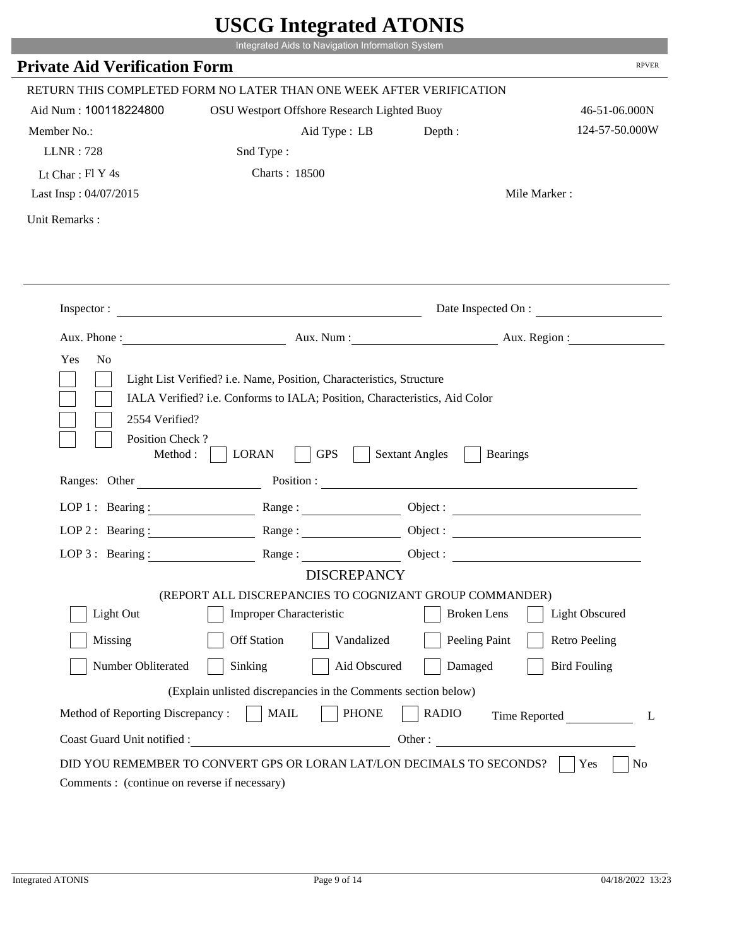|                                              | Integrated Aids to Navigation Information System                                                                                                   |                                                        |                       |
|----------------------------------------------|----------------------------------------------------------------------------------------------------------------------------------------------------|--------------------------------------------------------|-----------------------|
| <b>Private Aid Verification Form</b>         |                                                                                                                                                    |                                                        | <b>RPVER</b>          |
|                                              | RETURN THIS COMPLETED FORM NO LATER THAN ONE WEEK AFTER VERIFICATION                                                                               |                                                        |                       |
| Aid Num: 100118224800                        | OSU Westport Offshore Research Lighted Buoy                                                                                                        |                                                        | 46-51-06.000N         |
| Member No.:                                  | Aid Type : LB                                                                                                                                      | Depth :                                                | 124-57-50.000W        |
| <b>LLNR</b> : 728                            | Snd Type:                                                                                                                                          |                                                        |                       |
| Lt Char: $FI Y 4s$                           | <b>Charts: 18500</b>                                                                                                                               |                                                        |                       |
| Last Insp: 04/07/2015                        |                                                                                                                                                    |                                                        | Mile Marker:          |
| Unit Remarks:                                |                                                                                                                                                    |                                                        |                       |
|                                              |                                                                                                                                                    |                                                        |                       |
|                                              | Inspector:                                                                                                                                         |                                                        | Date Inspected On :   |
| Aux. Phone :                                 |                                                                                                                                                    | Aux. Num: Aux. Region:                                 |                       |
| N <sub>o</sub><br>Yes<br>2554 Verified?      | Light List Verified? i.e. Name, Position, Characteristics, Structure<br>IALA Verified? i.e. Conforms to IALA; Position, Characteristics, Aid Color |                                                        |                       |
| Position Check?<br>Method :<br>Ranges: Other | <b>GPS</b><br><b>LORAN</b>                                                                                                                         | <b>Sextant Angles</b><br><b>Bearings</b><br>Position : |                       |
|                                              |                                                                                                                                                    |                                                        |                       |
|                                              | LOP 1: Bearing: $\qquad \qquad$ Range:                                                                                                             |                                                        |                       |
|                                              | LOP 2: Bearing: Range:                                                                                                                             |                                                        |                       |
| LOP $3:$ Bearing :                           | Range:                                                                                                                                             |                                                        | Object :              |
|                                              | <b>DISCREPANCY</b><br>(REPORT ALL DISCREPANCIES TO COGNIZANT GROUP COMMANDER)                                                                      |                                                        |                       |
| Light Out                                    | Improper Characteristic                                                                                                                            | <b>Broken</b> Lens                                     | <b>Light Obscured</b> |
|                                              | <b>Off Station</b>                                                                                                                                 |                                                        |                       |
| Missing                                      | Vandalized                                                                                                                                         | Peeling Paint                                          | <b>Retro Peeling</b>  |
| Number Obliterated                           | Aid Obscured<br>Sinking                                                                                                                            | Damaged                                                | <b>Bird Fouling</b>   |
|                                              | (Explain unlisted discrepancies in the Comments section below)                                                                                     |                                                        |                       |
| Method of Reporting Discrepancy:             | <b>PHONE</b><br><b>MAIL</b><br>Other:                                                                                                              | <b>RADIO</b>                                           | Time Reported         |

Т.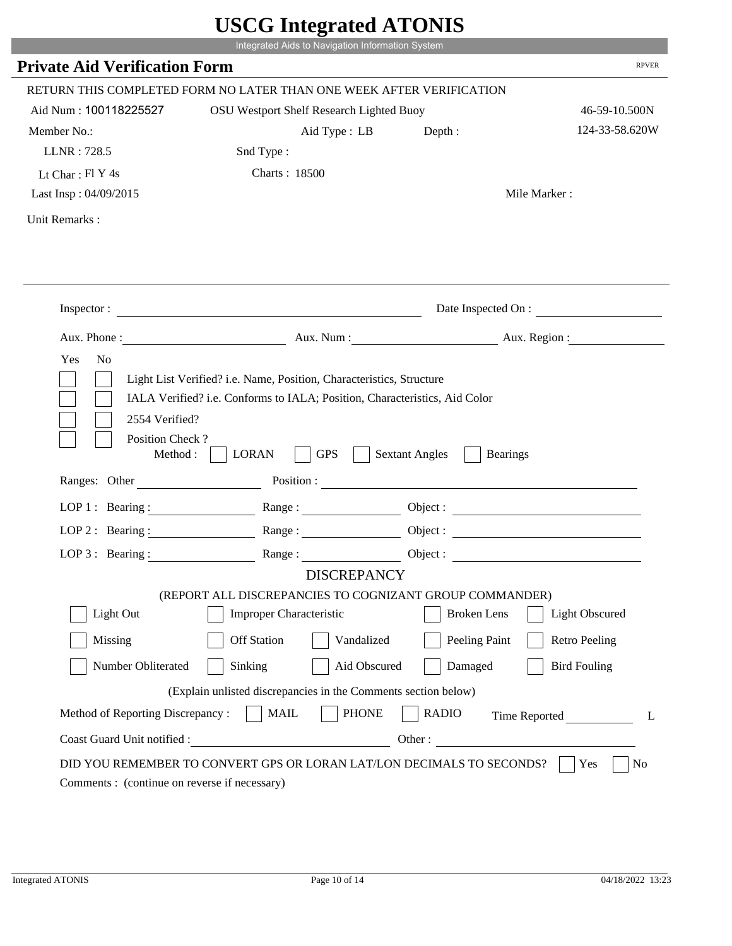|                                         | Integrated Aids to Navigation Information System                                                                                                   |                                          |                       |
|-----------------------------------------|----------------------------------------------------------------------------------------------------------------------------------------------------|------------------------------------------|-----------------------|
| <b>Private Aid Verification Form</b>    |                                                                                                                                                    |                                          | <b>RPVER</b>          |
|                                         | RETURN THIS COMPLETED FORM NO LATER THAN ONE WEEK AFTER VERIFICATION                                                                               |                                          |                       |
| Aid Num: 100118225527                   | OSU Westport Shelf Research Lighted Buoy                                                                                                           |                                          | 46-59-10.500N         |
| Member No.:                             | Aid Type : LB                                                                                                                                      | Depth :                                  | 124-33-58.620W        |
| LLNR: 728.5                             | Snd Type:                                                                                                                                          |                                          |                       |
| Lt Char: Fl Y 4s                        | <b>Charts: 18500</b>                                                                                                                               |                                          |                       |
| Last Insp: 04/09/2015                   |                                                                                                                                                    |                                          | Mile Marker:          |
| Unit Remarks:                           |                                                                                                                                                    |                                          |                       |
|                                         |                                                                                                                                                    |                                          |                       |
|                                         | Inspector:                                                                                                                                         |                                          | Date Inspected On :   |
|                                         | Aux. Phone: Aux. Num : Aux. Num : Aux. Region :                                                                                                    |                                          |                       |
| Yes<br>N <sub>o</sub><br>2554 Verified? | Light List Verified? i.e. Name, Position, Characteristics, Structure<br>IALA Verified? i.e. Conforms to IALA; Position, Characteristics, Aid Color |                                          |                       |
| Position Check?<br>Method : $\vert$     | <b>GPS</b><br><b>LORAN</b><br>$\sim$ 1                                                                                                             | <b>Sextant Angles</b><br><b>Bearings</b> |                       |
| Ranges: Other                           |                                                                                                                                                    | Position :                               |                       |
|                                         | LOP 1: Bearing: Range:                                                                                                                             |                                          |                       |
|                                         | LOP 2: Bearing: $\qquad \qquad \text{Range} :$                                                                                                     |                                          |                       |
| LOP $3:$ Bearing :                      | Range:                                                                                                                                             |                                          | Object :              |
|                                         | <b>DISCREPANCY</b>                                                                                                                                 |                                          |                       |
| Light Out                               | (REPORT ALL DISCREPANCIES TO COGNIZANT GROUP COMMANDER)                                                                                            |                                          | <b>Light Obscured</b> |
|                                         | <b>Improper Characteristic</b>                                                                                                                     | <b>Broken</b> Lens                       |                       |
| Missing                                 | <b>Off Station</b><br>Vandalized                                                                                                                   | Peeling Paint                            | <b>Retro Peeling</b>  |
| Number Obliterated                      | Sinking<br>Aid Obscured                                                                                                                            | Damaged                                  | <b>Bird Fouling</b>   |
|                                         | (Explain unlisted discrepancies in the Comments section below)                                                                                     |                                          |                       |
| Method of Reporting Discrepancy:        | <b>PHONE</b><br><b>MAIL</b>                                                                                                                        | <b>RADIO</b>                             | Time Reported         |

i i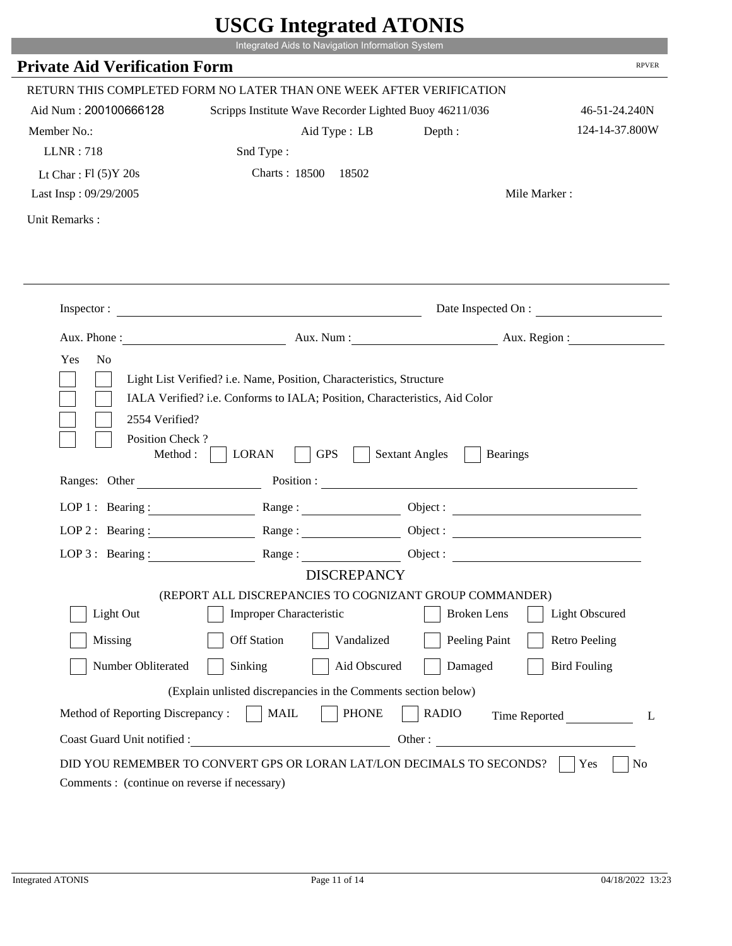|                                              | Integrated Aids to Navigation Information System                                                                                                   |                                          |                          |
|----------------------------------------------|----------------------------------------------------------------------------------------------------------------------------------------------------|------------------------------------------|--------------------------|
| <b>Private Aid Verification Form</b>         |                                                                                                                                                    |                                          | <b>RPVER</b>             |
|                                              | RETURN THIS COMPLETED FORM NO LATER THAN ONE WEEK AFTER VERIFICATION                                                                               |                                          |                          |
| Aid Num: 200100666128                        | Scripps Institute Wave Recorder Lighted Buoy 46211/036                                                                                             |                                          | 46-51-24.240N            |
| Member No.:                                  | Aid Type: LB                                                                                                                                       | Depth:                                   | 124-14-37.800W           |
| <b>LLNR: 718</b>                             | Snd Type:                                                                                                                                          |                                          |                          |
| Lt Char: $Fl(5)Y 20s$                        | Charts: 18500 18502                                                                                                                                |                                          |                          |
| Last Insp: 09/29/2005                        |                                                                                                                                                    |                                          | Mile Marker:             |
| Unit Remarks:                                |                                                                                                                                                    |                                          |                          |
|                                              |                                                                                                                                                    |                                          |                          |
|                                              | Inspector:                                                                                                                                         |                                          | Date Inspected On :      |
| Aux. Phone :                                 |                                                                                                                                                    |                                          | Aux. Num : Aux. Region : |
| Yes<br>N <sub>o</sub><br>2554 Verified?      | Light List Verified? i.e. Name, Position, Characteristics, Structure<br>IALA Verified? i.e. Conforms to IALA; Position, Characteristics, Aid Color |                                          |                          |
| Position Check?<br>Method :<br>Ranges: Other | <b>GPS</b><br><b>LORAN</b>                                                                                                                         | <b>Sextant Angles</b><br><b>Bearings</b> |                          |
|                                              |                                                                                                                                                    |                                          |                          |
|                                              | LOP 1: Bearing : Range :                                                                                                                           |                                          | Object:                  |
| LOP 2 : Bearing :                            |                                                                                                                                                    |                                          |                          |
|                                              | LOP 3: Bearing: Range: Name: Object:                                                                                                               |                                          |                          |
|                                              | <b>DISCREPANCY</b><br>(REPORT ALL DISCREPANCIES TO COGNIZANT GROUP COMMANDER)                                                                      |                                          |                          |
| Light Out                                    | Improper Characteristic                                                                                                                            | <b>Broken</b> Lens                       | <b>Light Obscured</b>    |
| Missing                                      | <b>Off Station</b><br>Vandalized                                                                                                                   | Peeling Paint                            | <b>Retro Peeling</b>     |
| Number Obliterated                           | Sinking<br>Aid Obscured                                                                                                                            | Damaged                                  | <b>Bird Fouling</b>      |
|                                              | (Explain unlisted discrepancies in the Comments section below)                                                                                     |                                          |                          |
| Method of Reporting Discrepancy:             | <b>PHONE</b><br><b>MAIL</b>                                                                                                                        | <b>RADIO</b>                             | Time Reported<br>L       |